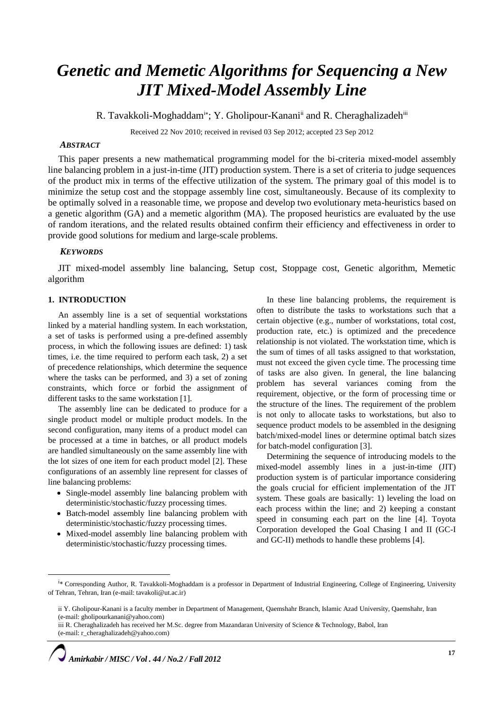# *Genetic and Memetic Algorithms for Sequencing a New JIT Mixed-Model Assembly Line*

R. Tavakkoli-Moghaddam<sup>i\*</sup>; Y. Gholipour-Kanani<sup>ii</sup> and R. Cheraghalizadeh<sup>iii</sup>

Received 22 Nov 2010; received in revised 03 Sep 2012; accepted 23 Sep 2012

# *ABSTRACT*

This paper presents a new mathematical programming model for the bi-criteria mixed-model assembly line balancing problem in a just-in-time (JIT) production system. There is a set of criteria to judge sequences of the product mix in terms of the effective utilization of the system. The primary goal of this model is to minimize the setup cost and the stoppage assembly line cost, simultaneously. Because of its complexity to be optimally solved in a reasonable time, we propose and develop two evolutionary meta-heuristics based on a genetic algorithm (GA) and a memetic algorithm (MA). The proposed heuristics are evaluated by the use of random iterations, and the related results obtained confirm their efficiency and effectiveness in order to provide good solutions for medium and large-scale problems.

## *KEYWORDS*

JIT mixed-model assembly line balancing, Setup cost, Stoppage cost, Genetic algorithm, Memetic algorithm

# **1. INTRODUCTION**

 $\overline{a}$ 

An assembly line is a set of sequential workstations linked by a material handling system. In each workstation, a set of tasks is performed using a pre-defined assembly process, in which the following issues are defined: 1) task times, i.e. the time required to perform each task, 2) a set of precedence relationships, which determine the sequence where the tasks can be performed, and 3) a set of zoning constraints, which force or forbid the assignment of different tasks to the same workstation [1].

The assembly line can be dedicated to produce for a single product model or multiple product models. In the second configuration, many items of a product model can be processed at a time in batches, or all product models are handled simultaneously on the same assembly line with the lot sizes of one item for each product model [2]. These configurations of an assembly line represent for classes of line balancing problems:

- Single-model assembly line balancing problem with deterministic/stochastic/fuzzy processing times.
- Batch-model assembly line balancing problem with deterministic/stochastic/fuzzy processing times.
- Mixed-model assembly line balancing problem with deterministic/stochastic/fuzzy processing times.

In these line balancing problems, the requirement is often to distribute the tasks to workstations such that a certain objective (e.g., number of workstations, total cost, production rate, etc.) is optimized and the precedence relationship is not violated. The workstation time, which is the sum of times of all tasks assigned to that workstation, must not exceed the given cycle time. The processing time of tasks are also given. In general, the line balancing problem has several variances coming from the requirement, objective, or the form of processing time or the structure of the lines. The requirement of the problem is not only to allocate tasks to workstations, but also to sequence product models to be assembled in the designing batch/mixed-model lines or determine optimal batch sizes for batch-model configuration [3].

Determining the sequence of introducing models to the mixed-model assembly lines in a just-in-time (JIT) production system is of particular importance considering the goals crucial for efficient implementation of the JIT system. These goals are basically: 1) leveling the load on each process within the line; and 2) keeping a constant speed in consuming each part on the line [4]. Toyota Corporation developed the Goal Chasing I and II (GC-I and GC-II) methods to handle these problems [4].

iii R. Cheraghalizadeh has received her M.Sc. degree from Mazandaran University of Science & Technology, Babol, Iran (e-mail: r\_cheraghalizadeh@yahoo.com)



<sup>&</sup>lt;sup>i</sup>\* Corresponding Author, R. Tavakkoli-Moghaddam is a professor in Department of Industrial Engineering, College of Engineering, University of Tehran, Tehran, Iran (e-mail: [tavakoli@ut.ac.ir\)](mailto:tavakoli@ut.ac.ir)

ii Y. Gholipour-Kanani is a faculty member in Department of Management, Qaemshahr Branch, Islamic Azad University, Qaemshahr, Iran (e-mail: gholipourkanani@yahoo.com)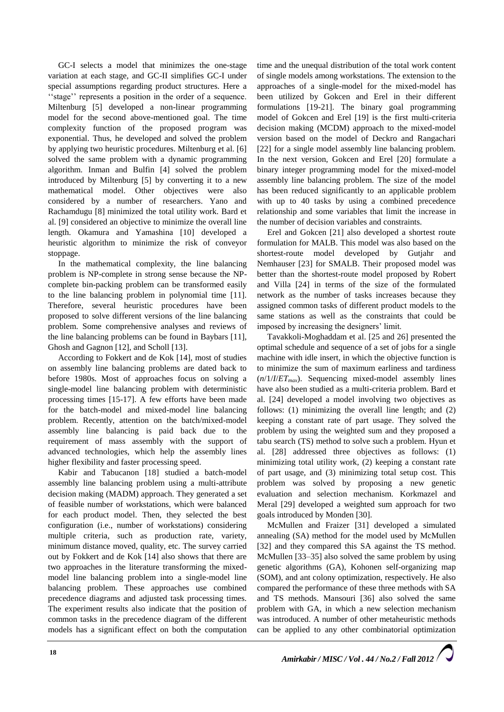GC-I selects a model that minimizes the one-stage variation at each stage, and GC-II simplifies GC-I under special assumptions regarding product structures. Here a ''stage'' represents a position in the order of a sequence. Miltenburg [5] developed a non-linear programming model for the second above-mentioned goal. The time complexity function of the proposed program was exponential. Thus, he developed and solved the problem by applying two heuristic procedures. Miltenburg et al. [6] solved the same problem with a dynamic programming algorithm. Inman and Bulfin [4] solved the problem introduced by Miltenburg [5] by converting it to a new mathematical model. Other objectives were also considered by a number of researchers. Yano and Rachamdugu [8] minimized the total utility work. Bard et al. [9] considered an objective to minimize the overall line length. Okamura and Yamashina [10] developed a heuristic algorithm to minimize the risk of conveyor stoppage.

In the mathematical complexity, the line balancing problem is NP-complete in strong sense because the NPcomplete bin-packing problem can be transformed easily to the line balancing problem in polynomial time [11]. Therefore, several heuristic procedures have been proposed to solve different versions of the line balancing problem. Some comprehensive analyses and reviews of the line balancing problems can be found in Baybars [11], Ghosh and Gagnon [12], and Scholl [13].

According to Fokkert and de Kok [14], most of studies on assembly line balancing problems are dated back to before 1980s. Most of approaches focus on solving a single-model line balancing problem with deterministic processing times [15-17]. A few efforts have been made for the batch-model and mixed-model line balancing problem. Recently, attention on the batch/mixed-model assembly line balancing is paid back due to the requirement of mass assembly with the support of advanced technologies, which help the assembly lines higher flexibility and faster processing speed.

Kabir and Tabucanon [18] studied a batch-model assembly line balancing problem using a multi-attribute decision making (MADM) approach. They generated a set of feasible number of workstations, which were balanced for each product model. Then, they selected the best configuration (i.e., number of workstations) considering multiple criteria, such as production rate, variety, minimum distance moved, quality, etc. The survey carried out by Fokkert and de Kok [14] also shows that there are two approaches in the literature transforming the mixedmodel line balancing problem into a single-model line balancing problem. These approaches use combined precedence diagrams and adjusted task processing times. The experiment results also indicate that the position of common tasks in the precedence diagram of the different models has a significant effect on both the computation

time and the unequal distribution of the total work content of single models among workstations. The extension to the approaches of a single-model for the mixed-model has been utilized by Gokcen and Erel in their different formulations [19-21]. The binary goal programming model of Gokcen and Erel [19] is the first multi-criteria decision making (MCDM) approach to the mixed-model version based on the model of Deckro and Rangachari [22] for a single model assembly line balancing problem. In the next version, Gokcen and Erel [20] formulate a binary integer programming model for the mixed-model assembly line balancing problem. The size of the model has been reduced significantly to an applicable problem with up to 40 tasks by using a combined precedence relationship and some variables that limit the increase in the number of decision variables and constraints.

Erel and Gokcen [21] also developed a shortest route formulation for MALB. This model was also based on the shortest-route model developed by Gutjahr and Nemhauser [23] for SMALB. Their proposed model was better than the shortest-route model proposed by Robert and Villa [24] in terms of the size of the formulated network as the number of tasks increases because they assigned common tasks of different product models to the same stations as well as the constraints that could be imposed by increasing the designers' limit.

Tavakkoli-Moghaddam et al. [25 and 26] presented the optimal schedule and sequence of a set of jobs for a single machine with idle insert, in which the objective function is to minimize the sum of maximum earliness and tardiness (*n*/1/*I*/*ETmax*). Sequencing mixed-model assembly lines have also been studied as a multi-criteria problem. Bard et al. [24] developed a model involving two objectives as follows: (1) minimizing the overall line length; and (2) keeping a constant rate of part usage. They solved the problem by using the weighted sum and they proposed a tabu search (TS) method to solve such a problem. Hyun et al. [28] addressed three objectives as follows: (1) minimizing total utility work, (2) keeping a constant rate of part usage, and (3) minimizing total setup cost. This problem was solved by proposing a new genetic evaluation and selection mechanism. Korkmazel and Meral [29] developed a weighted sum approach for two goals introduced by Monden [30].

McMullen and Fraizer [31] developed a simulated annealing (SA) method for the model used by McMullen [32] and they compared this SA against the TS method. McMullen [33–35] also solved the same problem by using genetic algorithms (GA), Kohonen self-organizing map (SOM), and ant colony optimization, respectively. He also compared the performance of these three methods with SA and TS methods. Mansouri [36] also solved the same problem with GA, in which a new selection mechanism was introduced. A number of other metaheuristic methods can be applied to any other combinatorial optimization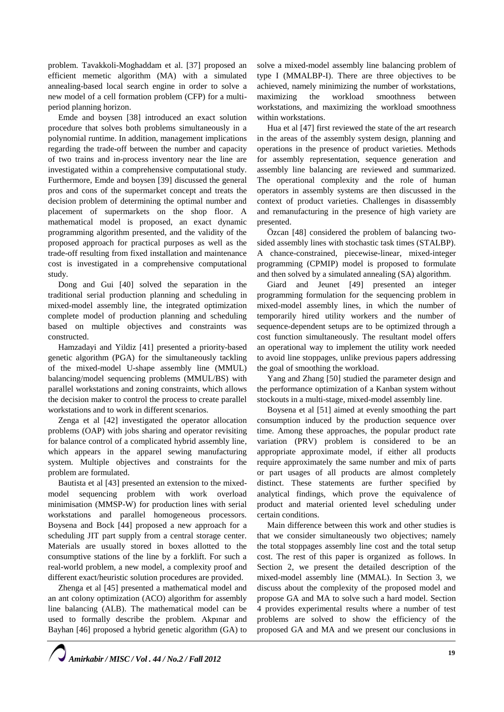problem. Tavakkoli-Moghaddam et al. [37] proposed an efficient memetic algorithm (MA) with a simulated annealing-based local search engine in order to solve a new model of a cell formation problem (CFP) for a multiperiod planning horizon.

Emde and boysen [38] introduced an exact solution procedure that solves both problems simultaneously in a polynomial runtime. In addition, management implications regarding the trade-off between the number and capacity of two trains and in-process inventory near the line are investigated within a comprehensive computational study. Furthermore, Emde and boysen [39] discussed the general pros and cons of the supermarket concept and treats the decision problem of determining the optimal number and placement of supermarkets on the shop floor. A mathematical model is proposed, an exact dynamic programming algorithm presented, and the validity of the proposed approach for practical purposes as well as the trade-off resulting from fixed installation and maintenance cost is investigated in a comprehensive computational study.

Dong and Gui [40] solved the separation in the traditional serial production planning and scheduling in mixed-model assembly line, the integrated optimization complete model of production planning and scheduling based on multiple objectives and constraints was constructed.

Hamzadayi and Yildiz [41] presented a priority-based genetic algorithm (PGA) for the simultaneously tackling of the mixed-model U-shape assembly line (MMUL) balancing/model sequencing problems (MMUL/BS) with parallel workstations and zoning constraints, which allows the decision maker to control the process to create parallel workstations and to work in different scenarios.

Zen[ga](http://www.sciencedirect.com/science/article/pii/S0305054811002139#aff1) et al [42] investigated the operator allocation problems (OAP) with jobs sharing and operator revisiting for balance control of a complicated hybrid assembly line, which appears in the apparel sewing manufacturing system. Multiple objectives and constraints for the problem are formulated.

Bautista et al [43] presented an extension to the mixedmodel sequencing problem with work overload minimisation (MMSP-W) for production lines with serial workstations and parallel homogeneous processors. Boyse[na](http://www.sciencedirect.com/science/article/pii/S0377221710007319#aff1) and Bock [44] proposed a new approach for a scheduling JIT part supply from a central storage center. Materials are usually stored in boxes allotted to the consumptive stations of the line by a forklift. For such a real-world problem, a new model, a complexity proof and different exact/heuristic solution procedures are provided.

Zhen[ga](http://www.sciencedirect.com/science/article/pii/S1876610211035910#aff0005) et al [45] presented a mathematical model and an ant colony optimization (ACO) algorithm for assembly line balancing (ALB). The mathematical model can be used to formally describe the problem. Akpınar and Bayhan [46] proposed a hybrid genetic algorithm (GA) to solve a mixed-model assembly line balancing problem of type I (MMALBP-I). There are three objectives to be achieved, namely minimizing the number of workstations, maximizing the workload smoothness between workstations, and maximizing the workload smoothness within workstations.

H[ua](http://www.sciencedirect.com/science/article/pii/S000785061100206X#aff0005) et al [47] first reviewed the state of the art research in the areas of the assembly system design, planning and operations in the presence of product varieties. Methods for assembly representation, sequence generation and assembly line balancing are reviewed and summarized. The operational complexity and the role of human operators in assembly systems are then discussed in the context of product varieties. Challenges in disassembly and remanufacturing in the presence of high variety are presented.

Özcan [48] considered the problem of balancing twosided assembly lines with stochastic task times (STALBP). A chance-constrained, piecewise-linear, mixed-integer programming (CPMIP) model is proposed to formulate and then solved by a simulated annealing (SA) algorithm.

Giard and Jeunet [49] presented an integer programming formulation for the sequencing problem in mixed-model assembly lines, in which the number of temporarily hired utility workers and the number of sequence-dependent setups are to be optimized through a cost function simultaneously. The resultant model offers an operational way to implement the utility work needed to avoid line stoppages, unlike previous papers addressing the goal of smoothing the workload.

Yang and Zhang [50] studied the parameter design and the performance optimization of a Kanban system without stockouts in a multi-stage, mixed-model assembly line.

Boyse[na](http://www.sciencedirect.com/science/article/pii/S0377221708005122#aff1) et al [51] aimed at evenly smoothing the part consumption induced by the production sequence over time. Among these approaches, the popular product rate variation (PRV) problem is considered to be an appropriate approximate model, if either all products require approximately the same number and mix of parts or part usages of all products are almost completely distinct. These statements are further specified by analytical findings, which prove the equivalence of product and material oriented level scheduling under certain conditions.

Main difference between this work and other studies is that we consider simultaneously two objectives; namely the total stoppages assembly line cost and the total setup cost. The rest of this paper is organized as follows. In Section 2, we present the detailed description of the mixed-model assembly line (MMAL). In Section 3, we discuss about the complexity of the proposed model and propose GA and MA to solve such a hard model. Section 4 provides experimental results where a number of test problems are solved to show the efficiency of the proposed GA and MA and we present our conclusions in

*Amirkabir / MISC / Vol . 44 / No.2 / Fall 2012*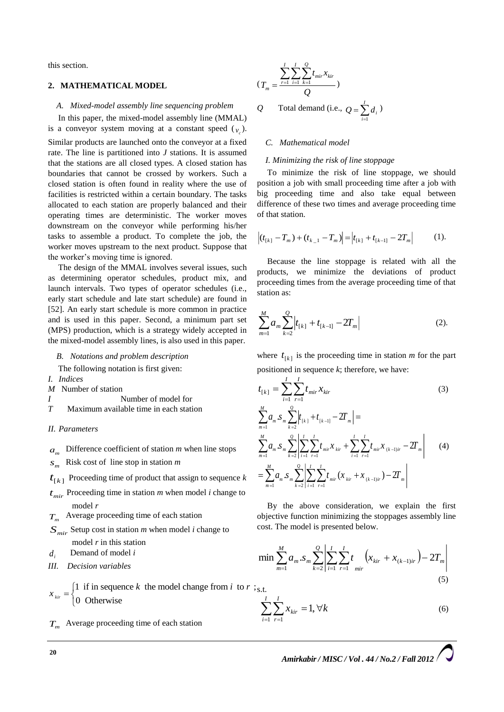this section.

#### **2. MATHEMATICAL MODEL**

#### *A. Mixed-model assembly line sequencing problem*

In this paper, the mixed-model assembly line (MMAL) is a conveyor system moving at a constant speed  $(v_c)$ .

Similar products are launched onto the conveyor at a fixed rate. The line is partitioned into *J* stations. It is assumed that the stations are all closed types. A closed station has boundaries that cannot be crossed by workers. Such a closed station is often found in reality where the use of facilities is restricted within a certain boundary. The tasks allocated to each station are properly balanced and their operating times are deterministic. The worker moves downstream on the conveyor while performing his/her tasks to assemble a product. To complete the job, the worker moves upstream to the next product. Suppose that the worker's moving time is ignored.

The design of the MMAL involves several issues, such as determining operator schedules, product mix, and launch intervals. Two types of operator schedules (i.e., early start schedule and late start schedule) are found in [52]. An early start schedule is more common in practice and is used in this paper. Second, a minimum part set (MPS) production, which is a strategy widely accepted in the mixed-model assembly lines, is also used in this paper.

*B. Notations and problem description* 

The following notation is first given:

- *I. Indices*
- *M* Number of station
- *I* Number of model for
- *T* Maximum available time in each station
- *II. Parameters*
- $a_m$  Difference coefficient of station *m* when line stops
- *m <sup>s</sup>* Risk cost of line stop in station *m*

 $t_{[k]}$  Proceeding time of product that assign to sequence  $k$ 

- $t_{mir}$  Proceeding time in station  $m$  when model  $i$  change to model *r*
- *T<sup>m</sup>* Average proceeding time of each station
- *Smir* Setup cost in station *m* when model *i* change to model *r* in this station
- *<sup>i</sup> <sup>d</sup>* Demand of model *i*
- *III. Decision variables*

1 if in sequence k the model change from i to  $r$ ; 0 Otherwise *kir*  $x_{\text{kir}} = \begin{cases} 1 & \text{if in sequence } k \text{ the model change from } i \text{ to } r \\ 0 & \text{otherwise} \end{cases}$ ŀ s.t.

*T<sup>m</sup>* Average proceeding time of each station

$$
(T_m = \frac{\sum_{r=1}^{I} \sum_{i=1}^{I} \sum_{k=1}^{Q} t_{mir} x_{kir}}{Q})
$$
  
Q Total demand (i.e.,  $Q = \sum_{i=1}^{I} d_i$ )

*C. Mathematical model*

#### *I. Minimizing the risk of line stoppage*

To minimize the risk of line stoppage, we should position a job with small proceeding time after a job with big proceeding time and also take equal between difference of these two times and average proceeding time of that station.

$$
\left| (t_{[k]} - T_m) + (t_{k-1} - T_m) \right| = \left| t_{[k]} + t_{[k-1]} - 2T_m \right| \tag{1}.
$$

Because the line stoppage is related with all the products, we minimize the deviations of product proceeding times from the average proceeding time of that station as:

$$
\sum_{m=1}^{M} a_m \sum_{k=2}^{Q} \left| t_{[k]} + t_{[k-1]} - 2T_m \right| \tag{2}.
$$

where  $t_{[k]}$  is the proceeding time in station *m* for the part positioned in sequence *k*; therefore, we have:

$$
t_{[k]} = \sum_{i=1}^{I} \sum_{r=1}^{I} t_{mir} x_{kir}
$$
\n
$$
(3)
$$
\n
$$
\sum_{m=1}^{M} a_{m} S_{m} \sum_{k=2}^{Q} \left| t_{[k]} + t_{[k-1]} - 2T_{m} \right| =
$$
\n
$$
\sum_{m=1}^{M} a_{m} S_{m} \sum_{k=2}^{Q} \left| \sum_{i=1}^{I} \sum_{r=1}^{I} t_{mir} x_{kir} + \sum_{i=1}^{I} \sum_{r=1}^{I} t_{mir} x_{(k-1)ir} - 2T_{m} \right|
$$
\n
$$
= \sum_{m=1}^{M} a_{m} S_{m} \sum_{k=2}^{Q} \left| \sum_{i=1}^{I} \sum_{r=1}^{I} t_{mir} (x_{kir} + x_{(k-1)ir}) - 2T_{m} \right|
$$
\n(4)

By the above consideration, we explain the first objective function minimizing the stoppages assembly line cost. The model is presented below.

$$
\min \sum_{m=1}^{M} a_m \cdot s_m \sum_{k=2}^{Q} \left| \sum_{i=1}^{I} \sum_{r=1}^{I} t_{mir} \left( x_{kir} + x_{(k-1)ir} \right) - 2T_m \right|
$$
\n(5)

$$
\sum_{i=1}^{I} \sum_{r=1}^{I} x_{kir} = 1, \forall k
$$
 (6)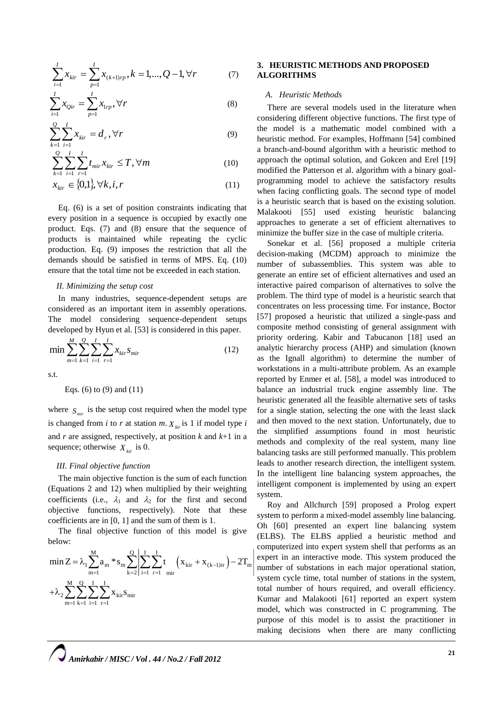$$
\sum_{i=1}^{I} x_{kir} = \sum_{p=1}^{I} x_{(k+1)rp}, k = 1, ..., Q-1, \forall r
$$
 (7)

$$
\sum_{i=1}^{I} x_{Qir} = \sum_{p=1}^{I} x_{1rp}, \forall r
$$
 (8)

$$
\sum_{k=1}^{Q} \sum_{i=1}^{I} x_{kir} = d_r, \forall r
$$
\n(9)

$$
\sum_{k=1}^{Q} \sum_{i=1}^{I} \sum_{r=1}^{I} t_{mir} x_{kir} \leq T, \forall m
$$
\n(10)

$$
x_{\text{kir}} \in \{0, 1\}, \forall k, i, r \tag{11}
$$

Eq. (6) is a set of position constraints indicating that every position in a sequence is occupied by exactly one product. Eqs. (7) and (8) ensure that the sequence of products is maintained while repeating the cyclic production. Eq. (9) imposes the restriction that all the demands should be satisfied in terms of MPS. Eq. (10) ensure that the total time not be exceeded in each station.

#### *II. Minimizing the setup cost*

In many industries, sequence-dependent setups are considered as an important item in assembly operations. The model considering sequence-dependent setups developed by Hyun et al. [53] is considered in this paper.

$$
\min \sum_{m=1}^{M} \sum_{k=1}^{Q} \sum_{i=1}^{I} \sum_{r=1}^{I} x_{kir} s_{mir} \tag{12}
$$

s.t.

Eqs. (6) to (9) and 
$$
(11)
$$

where  $S_{\text{mir}}$  is the setup cost required when the model type is changed from *i* to *r* at station  $m$ .  $X_{\text{vir}}$  is 1 if model type *i* and *r* are assigned, respectively, at position *k* and *k*+1 in a sequence; otherwise  $X_{\text{kir}}$  is 0.

#### *III. Final objective function*

The main objective function is the sum of each function (Equations 2 and 12) when multiplied by their weighting coefficients (i.e.,  $\lambda_1$  and  $\lambda_2$  for the first and second objective functions, respectively). Note that these coefficients are in [0, 1] and the sum of them is 1.

The final objective function of this model is give below:

$$
\min Z = \lambda_1 \sum_{m=1}^{M} a_m * s_m \sum_{k=2}^{Q} \left| \sum_{i=1}^{I} \sum_{r=1}^{I} t_{mir} \left( x_{kir} + x_{(k-1)ir} \right) - 2T_m \right|
$$
  
+  $\lambda_2 \sum_{m=1}^{M} \sum_{k=1}^{Q} \sum_{i=1}^{I} \sum_{r=1}^{I} x_{kir} s_{mir}$ 

## **3. HEURISTIC METHODS AND PROPOSED ALGORITHMS**

#### *A. Heuristic Methods*

There are several models used in the literature when considering different objective functions. The first type of the model is a mathematic model combined with a heuristic method. For examples, Hoffmann [54] combined a branch-and-bound algorithm with a heuristic method to approach the optimal solution, and Gokcen and Erel [19] modified the Patterson et al. algorithm with a binary goalprogramming model to achieve the satisfactory results when facing conflicting goals. The second type of model is a heuristic search that is based on the existing solution. Malakooti [55] used existing heuristic balancing approaches to generate a set of efficient alternatives to minimize the buffer size in the case of multiple criteria.

Sonekar et al. [56] proposed a multiple criteria decision-making (MCDM) approach to minimize the number of subassemblies. This system was able to generate an entire set of efficient alternatives and used an interactive paired comparison of alternatives to solve the problem. The third type of model is a heuristic search that concentrates on less processing time. For instance, Boctor [57] proposed a heuristic that utilized a single-pass and composite method consisting of general assignment with priority ordering. Kabir and Tabucanon [18] used an analytic hierarchy process (AHP) and simulation (known as the Ignall algorithm) to determine the number of workstations in a multi-attribute problem. As an example reported by Enmer et al. [58], a model was introduced to balance an industrial truck engine assembly line. The heuristic generated all the feasible alternative sets of tasks for a single station, selecting the one with the least slack and then moved to the next station. Unfortunately, due to the simplified assumptions found in most heuristic methods and complexity of the real system, many line balancing tasks are still performed manually. This problem leads to another research direction, the intelligent system. In the intelligent line balancing system approaches, the intelligent component is implemented by using an expert system.

Roy and Allchurch [59] proposed a Prolog expert system to perform a mixed-model assembly line balancing. Oh [60] presented an expert line balancing system (ELBS). The ELBS applied a heuristic method and computerized into expert system shell that performs as an expert in an interactive mode. This system produced the number of substations in each major operational station, system cycle time, total number of stations in the system, total number of hours required, and overall efficiency. Kumar and Malakooti [61] reported an expert system model, which was constructed in C programming. The purpose of this model is to assist the practitioner in making decisions when there are many conflicting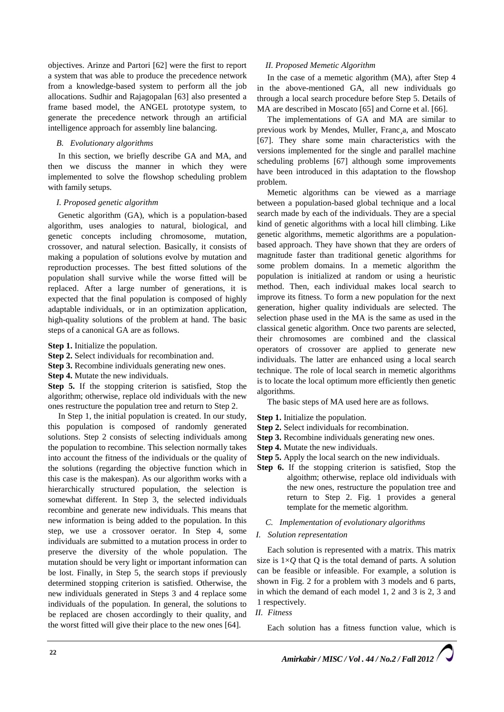objectives. Arinze and Partori [62] were the first to report a system that was able to produce the precedence network from a knowledge-based system to perform all the job allocations. Sudhir and Rajagopalan [63] also presented a frame based model, the ANGEL prototype system, to generate the precedence network through an artificial intelligence approach for assembly line balancing.

## *B. Evolutionary algorithms*

In this section, we briefly describe GA and MA, and then we discuss the manner in which they were implemented to solve the flowshop scheduling problem with family setups.

## *I. Proposed genetic algorithm*

Genetic algorithm (GA), which is a population-based algorithm, uses analogies to natural, biological, and genetic concepts including chromosome, mutation, crossover, and natural selection. Basically, it consists of making a population of solutions evolve by mutation and reproduction processes. The best fitted solutions of the population shall survive while the worse fitted will be replaced. After a large number of generations, it is expected that the final population is composed of highly adaptable individuals, or in an optimization application, high-quality solutions of the problem at hand. The basic steps of a canonical GA are as follows.

- **Step 1.** Initialize the population.
- **Step 2.** Select individuals for recombination and.
- **Step 3.** Recombine individuals generating new ones.
- **Step 4.** Mutate the new individuals.

**Step 5.** If the stopping criterion is satisfied, Stop the algorithm; otherwise, replace old individuals with the new ones restructure the population tree and return to Step 2.

In Step 1, the initial population is created. In our study, this population is composed of randomly generated solutions. Step 2 consists of selecting individuals among the population to recombine. This selection normally takes into account the fitness of the individuals or the quality of the solutions (regarding the objective function which in this case is the makespan). As our algorithm works with a hierarchically structured population, the selection is somewhat different. In Step 3, the selected individuals recombine and generate new individuals. This means that new information is being added to the population. In this step, we use a crossover oerator. In Step 4, some individuals are submitted to a mutation process in order to preserve the diversity of the whole population. The mutation should be very light or important information can be lost. Finally, in Step 5, the search stops if previously determined stopping criterion is satisfied. Otherwise, the new individuals generated in Steps 3 and 4 replace some individuals of the population. In general, the solutions to be replaced are chosen accordingly to their quality, and the worst fitted will give their place to the new ones [64].

## *II. Proposed Memetic Algorithm*

In the case of a memetic algorithm (MA), after Step 4 in the above-mentioned GA, all new individuals go through a local search procedure before Step 5. Details of MA are described in Moscato [65] and Corne et al. [66].

The implementations of GA and MA are similar to previous work by Mendes, Muller, Franc¸a, and Moscato [67]. They share some main characteristics with the versions implemented for the single and parallel machine scheduling problems [67] although some improvements have been introduced in this adaptation to the flowshop problem.

Memetic algorithms can be viewed as a marriage between a population-based global technique and a local search made by each of the individuals. They are a special kind of genetic algorithms with a local hill climbing. Like genetic algorithms, memetic algorithms are a populationbased approach. They have shown that they are orders of magnitude faster than traditional genetic algorithms for some problem domains. In a memetic algorithm the population is initialized at random or using a heuristic method. Then, each individual makes local search to improve its fitness. To form a new population for the next generation, higher quality individuals are selected. The selection phase used in the MA is the same as used in the classical genetic algorithm. Once two parents are selected, their chromosomes are combined and the classical operators of crossover are applied to generate new individuals. The latter are enhanced using a local search technique. The role of local search in memetic algorithms is to locate the local optimum more efficiently then genetic algorithms.

The basic steps of MA used here are as follows.

- **Step 1.** Initialize the population.
- **Step 2.** Select individuals for recombination.
- **Step 3.** Recombine individuals generating new ones.
- **Step 4.** Mutate the new individuals.
- **Step 5.** Apply the local search on the new individuals.
- **Step 6.** If the stopping criterion is satisfied, Stop the algoithm; otherwise, replace old individuals with the new ones, restructure the population tree and return to Step 2. Fig. 1 provides a general template for the memetic algorithm.
	- *C. Implementation of evolutionary algorithms*

#### *I. Solution representation*

Each solution is represented with a matrix. This matrix size is  $1\times Q$  that Q is the total demand of parts. A solution can be feasible or infeasible. For example, a solution is shown in Fig. 2 for a problem with 3 models and 6 parts, in which the demand of each model 1, 2 and 3 is 2, 3 and 1 respectively.

# *II. Fitness*

Each solution has a fitness function value, which is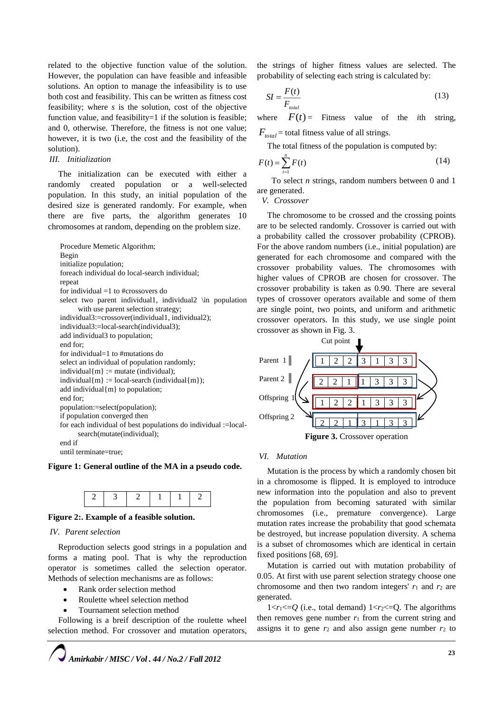related to the objective function value of the solution. However, the population can have feasible and infeasible solutions. An option to manage the infeasibility is to use both cost and feasibility. This can be written as fitness cost feasibility; where *s* is the solution, cost of the objective function value, and feasibility=1 if the solution is feasible; and 0, otherwise. Therefore, the fitness is not one value; however, it is two (i.e, the cost and the feasibility of the solution).

#### *III. Initialization*

The initialization can be executed with either a randomly created population or a well-selected population. In this study, an initial population of the desired size is generated randomly. For example, when there are five parts, the algorithm generates 10 chromosomes at random, depending on the problem size.

Procedure Memetic Algorithm; Begin initialize population; foreach individual do local-search individual; repeat for individual =1 to #crossovers do select two parent individual1, individual2 \in population with use parent selection strategy; individual3:=crossover(individual1, individual2); individual3:=local-search(individual3); add individual3 to population; end for; for individual=1 to #mutations do select an individual of population randomly; individual ${m}$  := mutate (individual); individual ${m}$  := local-search (individual ${m}$ ); add individual{m} to population; end for; population:=select(population); if population converged then for each individual of best populations do individual :=localsearch(mutate(individual); end if until terminate=true;

#### **Figure 1: General outline of the MA in a pseudo code.**



#### **Figure 2:. Example of a feasible solution.**

## *IV. Parent selection*

Reproduction selects good strings in a population and forms a mating pool. That is why the reproduction operator is sometimes called the selection operator. Methods of selection mechanisms are as follows:

- Rank order selection method
- Roulette wheel selection method
- Tournament selection method

Following is a breif description of the roulette wheel selection method. For crossover and mutation operators,



the strings of higher fitness values are selected. The probability of selecting each string is calculated by:

$$
SI = \frac{F(t)}{F_{total}}
$$
 (13)

where  $F(t)$  = Fitness value of the *i*th string,  $F_{total}$  = total fitness value of all strings.

The total fitness of the population is computed by:

$$
F(t) = \sum_{i=1}^{n} F(t)
$$
 (14)

To select *n* strings, random numbers between 0 and 1 are generated.

*V. Crossover* 

The chromosome to be crossed and the crossing points are to be selected randomly. Crossover is carried out with a probability called the crossover probability (CPROB). For the above random numbers (i.e., initial population) are generated for each chromosome and compared with the crossover probability values. The chromosomes with higher values of CPROB are chosen for crossover. The crossover probability is taken as 0.90. There are several types of crossover operators available and some of them are single point, two points, and uniform and arithmetic crossover operators. In this study, we use single point crossover as shown in Fig. 3.



#### *VI. Mutation*

Mutation is the process by which a randomly chosen bit in a chromosome is flipped. It is employed to introduce new information into the population and also to prevent the population from becoming saturated with similar chromosomes (i.e., premature convergence). Large mutation rates increase the probability that good schemata be destroyed, but increase population diversity. A schema is a subset of chromosomes which are identical in certain fixed positions [68, 69].

Mutation is carried out with mutation probability of 0.05. At first with use parent selection strategy choose one chromosome and then two random integers'  $r_1$  and  $r_2$  are generated.

 $1 \le r_1 \le 0$  (i.e., total demand)  $1 \le r_2 \le 0$ . The algorithms then removes gene number  $r_1$  from the current string and assigns it to gene  $r_2$  and also assign gene number  $r_2$  to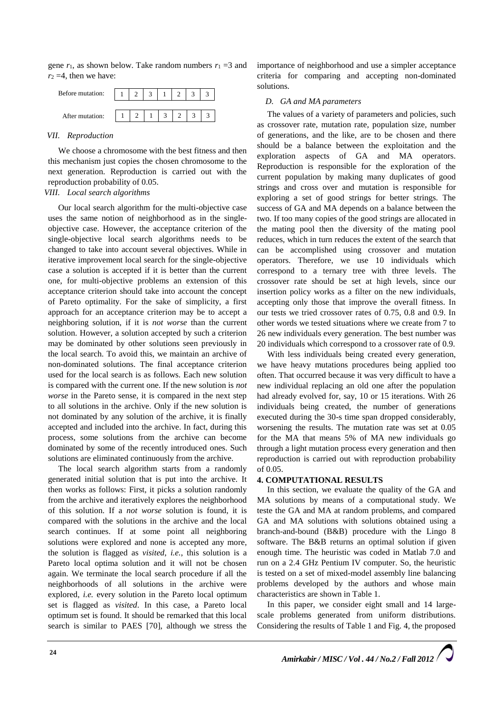gene  $r_1$ , as shown below. Take random numbers  $r_1 = 3$  and  $r_2 = 4$ , then we have:



## *VII. Reproduction*

We choose a chromosome with the best fitness and then this mechanism just copies the chosen chromosome to the next generation. Reproduction is carried out with the reproduction probability of 0.05.

# *VIII. Local search algorithms*

Our local search algorithm for the multi-objective case uses the same notion of neighborhood as in the singleobjective case. However, the acceptance criterion of the single-objective local search algorithms needs to be changed to take into account several objectives. While in iterative improvement local search for the single-objective case a solution is accepted if it is better than the current one, for multi-objective problems an extension of this acceptance criterion should take into account the concept of Pareto optimality. For the sake of simplicity, a first approach for an acceptance criterion may be to accept a neighboring solution, if it is *not worse* than the current solution. However, a solution accepted by such a criterion may be dominated by other solutions seen previously in the local search. To avoid this, we maintain an archive of non-dominated solutions. The final acceptance criterion used for the local search is as follows. Each new solution is compared with the current one. If the new solution is *not worse* in the Pareto sense, it is compared in the next step to all solutions in the archive. Only if the new solution is not dominated by any solution of the archive, it is finally accepted and included into the archive. In fact, during this process, some solutions from the archive can become dominated by some of the recently introduced ones. Such solutions are eliminated continuously from the archive.

The local search algorithm starts from a randomly generated initial solution that is put into the archive. It then works as follows: First, it picks a solution randomly from the archive and iteratively explores the neighborhood of this solution. If a *not worse* solution is found, it is compared with the solutions in the archive and the local search continues. If at some point all neighboring solutions were explored and none is accepted any more, the solution is flagged as *visited*, *i.e.*, this solution is a Pareto local optima solution and it will not be chosen again. We terminate the local search procedure if all the neighborhoods of all solutions in the archive were explored, *i.e.* every solution in the Pareto local optimum set is flagged as *visited*. In this case, a Pareto local optimum set is found. It should be remarked that this local search is similar to PAES [70], although we stress the

importance of neighborhood and use a simpler acceptance criteria for comparing and accepting non-dominated solutions.

#### *D. GA and MA parameters*

The values of a variety of parameters and policies, such as crossover rate, mutation rate, population size, number of generations, and the like, are to be chosen and there should be a balance between the exploitation and the exploration aspects of GA and MA operators. Reproduction is responsible for the exploration of the current population by making many duplicates of good strings and cross over and mutation is responsible for exploring a set of good strings for better strings. The success of GA and MA depends on a balance between the two. If too many copies of the good strings are allocated in the mating pool then the diversity of the mating pool reduces, which in turn reduces the extent of the search that can be accomplished using crossover and mutation operators. Therefore, we use 10 individuals which correspond to a ternary tree with three levels. The crossover rate should be set at high levels, since our insertion policy works as a filter on the new individuals, accepting only those that improve the overall fitness. In our tests we tried crossover rates of 0.75, 0.8 and 0.9. In other words we tested situations where we create from 7 to 26 new individuals every generation. The best number was 20 individuals which correspond to a crossover rate of 0.9.

With less individuals being created every generation, we have heavy mutations procedures being applied too often. That occurred because it was very difficult to have a new individual replacing an old one after the population had already evolved for, say, 10 or 15 iterations. With 26 individuals being created, the number of generations executed during the 30-s time span dropped considerably, worsening the results. The mutation rate was set at 0.05 for the MA that means 5% of MA new individuals go through a light mutation process every generation and then reproduction is carried out with reproduction probability of 0.05.

## **4. COMPUTATIONAL RESULTS**

In this section, we evaluate the quality of the GA and MA solutions by means of a computational study. We teste the GA and MA at random problems, and compared GA and MA solutions with solutions obtained using a branch-and-bound (B&B) procedure with the Lingo 8 software. The B&B returns an optimal solution if given enough time. The heuristic was coded in Matlab 7.0 and run on a 2.4 GHz Pentium IV computer. So, the heuristic is tested on a set of mixed-model assembly line balancing problems developed by the authors and whose main characteristics are shown in Table 1.

In this paper, we consider eight small and 14 largescale problems generated from uniform distributions. Considering the results of Table 1 and Fig. 4, the proposed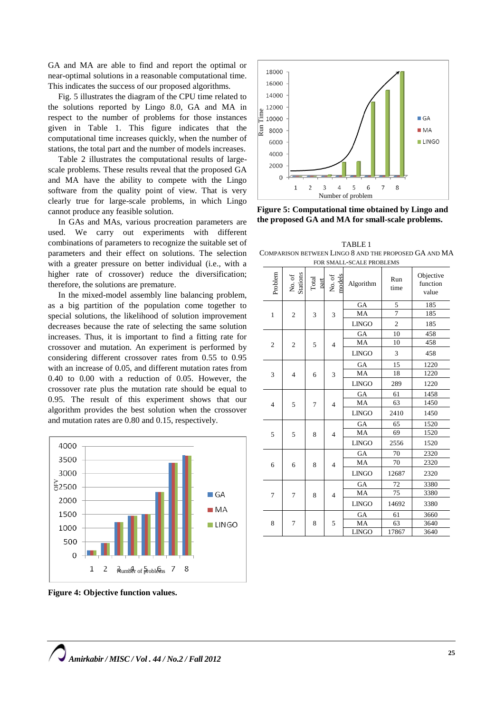GA and MA are able to find and report the optimal or near-optimal solutions in a reasonable computational time. This indicates the success of our proposed algorithms.

Fig. 5 illustrates the diagram of the CPU time related to the solutions reported by Lingo 8.0, GA and MA in respect to the number of problems for those instances given in Table 1. This figure indicates that the computational time increases quickly, when the number of stations, the total part and the number of models increases.

Table 2 illustrates the computational results of largescale problems. These results reveal that the proposed GA and MA have the ability to compete with the Lingo software from the quality point of view. That is very clearly true for large-scale problems, in which Lingo cannot produce any feasible solution.

In GAs and MAs, various procreation parameters are used. We carry out experiments with different combinations of parameters to recognize the suitable set of parameters and their effect on solutions. The selection with a greater pressure on better individual (i.e., with a higher rate of crossover) reduce the diversification; therefore, the solutions are premature.

In the mixed-model assembly line balancing problem, as a big partition of the population come together to special solutions, the likelihood of solution improvement decreases because the rate of selecting the same solution increases. Thus, it is important to find a fitting rate for crossover and mutation. An experiment is performed by considering different crossover rates from 0.55 to 0.95 with an increase of 0.05, and different mutation rates from 0.40 to 0.00 with a reduction of 0.05. However, the crossover rate plus the mutation rate should be equal to 0.95. The result of this experiment shows that our algorithm provides the best solution when the crossover and mutation rates are 0.80 and 0.15, respectively.



**Figure 4: Objective function values.**



**Figure 5: Computational time obtained by Lingo and the proposed GA and MA for small-scale problems.**

5

6

 $\overline{7}$ 

8

Number of problem

 $\overline{2}$  $\overline{3}$  $\overline{4}$ 

TABLE 1 COMPARISON BETWEEN LINGO 8 AND THE PROPOSED GA AND MA

| FOR SMALL-SCALE PROBLEMS |                    |               |                  |              |                |                                |
|--------------------------|--------------------|---------------|------------------|--------------|----------------|--------------------------------|
| Problem                  | No. of<br>Stations | Total<br>part | nodels<br>No. of | Algorithm    | Run<br>time    | Objective<br>function<br>value |
| $\mathbf{1}$             | $\overline{c}$     | 3             | 3                | GA           | 5              | 185                            |
|                          |                    |               |                  | MA           | $\overline{7}$ | 185                            |
|                          |                    |               |                  | <b>LINGO</b> | $\overline{c}$ | 185                            |
| $\overline{2}$           | $\overline{c}$     | 5             | $\overline{4}$   | GA           | 10             | 458                            |
|                          |                    |               |                  | MA           | 10             | 458                            |
|                          |                    |               |                  | <b>LINGO</b> | 3              | 458                            |
| 3                        | $\overline{4}$     |               | 3                | GA           | 15             | 1220                           |
|                          |                    | 6             |                  | MA           | 18             | 1220                           |
|                          |                    |               |                  | <b>LINGO</b> | 289            | 1220                           |
| $\overline{4}$           | 5                  | 7             | $\overline{4}$   | GA           | 61             | 1458                           |
|                          |                    |               |                  | MA           | 63             | 1450                           |
|                          |                    |               |                  | <b>LINGO</b> | 2410           | 1450                           |
|                          | 5                  |               | $\overline{4}$   | GA           | 65             | 1520                           |
| 5                        |                    | 8             |                  | MA           | 69             | 1520                           |
|                          |                    |               |                  | <b>LINGO</b> | 2556           | 1520                           |
|                          | 6                  | 8             | $\overline{4}$   | GA           | 70             | 2320                           |
| 6                        |                    |               |                  | MA           | 70             | 2320                           |
|                          |                    |               |                  | <b>LINGO</b> | 12687          | 2320                           |
| 7                        | 7                  | 8             | $\overline{4}$   | GA           | 72             | 3380                           |
|                          |                    |               |                  | MA           | 75             | 3380                           |
|                          |                    |               |                  | <b>LINGO</b> | 14692          | 3380                           |
| 8                        | 7                  |               | 5                | GA           | 61             | 3660                           |
|                          |                    | 8             |                  | MA           | 63             | 3640                           |
|                          |                    |               |                  | <b>LINGO</b> | 17867          | 3640                           |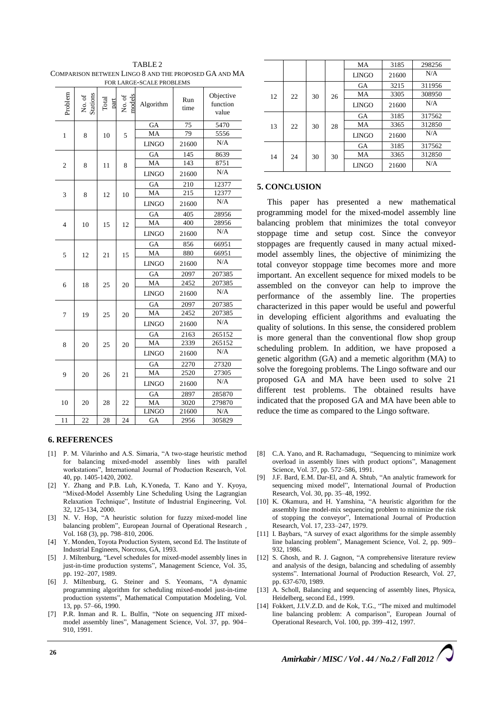| TABLE 2                                               |
|-------------------------------------------------------|
| COMPARISON BETWEEN LINGO 8 AND THE PROPOSED GA AND MA |
| FOR LARGE-SCALE PROBLEMS                              |

| FUR LARUE-SUALE PRUDLEMS |                    |               |                  |              |             |                                |
|--------------------------|--------------------|---------------|------------------|--------------|-------------|--------------------------------|
| Problem                  | Stations<br>No. of | Total<br>part | No. of<br>model: | Algorithm    | Run<br>time | Objective<br>function<br>value |
| $\mathbf{1}$             |                    |               | 5                | GA           | 75          | 5470                           |
|                          | 8                  | 10            |                  | MA           | 79          | 5556                           |
|                          |                    |               |                  | <b>LINGO</b> | 21600       | N/A                            |
| $\mathfrak{2}$           | 8                  | 11            | 8                | GA           | 145         | 8639                           |
|                          |                    |               |                  | MA           | 143         | 8751                           |
|                          |                    |               |                  | <b>LINGO</b> | 21600       | N/A                            |
| 3                        | 8                  | 12            | 10               | GA           | 210         | 12377                          |
|                          |                    |               |                  | MA           | 215         | 12377                          |
|                          |                    |               |                  | <b>LINGO</b> | 21600       | N/A                            |
|                          |                    |               | 12               | GA           | 405         | 28956                          |
| $\overline{4}$           | 10                 | 15            |                  | MA           | 400         | 28956                          |
|                          |                    |               |                  | <b>LINGO</b> | 21600       | N/A                            |
|                          |                    |               |                  | GA           | 856         | 66951                          |
| 5                        | 12                 | 21            | 15               | MA           | 880         | 66951                          |
|                          |                    |               |                  | <b>LINGO</b> | 21600       | N/A                            |
| 6                        | 18                 | 25            | 20               | GA           | 2097        | 207385                         |
|                          |                    |               |                  | MA           | 2452        | 207385                         |
|                          |                    |               |                  | <b>LINGO</b> | 21600       | N/A                            |
|                          | 19                 |               | 20               | GA           | 2097        | 207385                         |
| 7                        |                    | 25            |                  | MA           | 2452        | 207385                         |
|                          |                    |               |                  | <b>LINGO</b> | 21600       | N/A                            |
|                          | 20                 | 25            | 20               | GA           | 2163        | 265152                         |
| 8                        |                    |               |                  | MA           | 2339        | 265152                         |
|                          |                    |               |                  | <b>LINGO</b> | 21600       | N/A                            |
| 9                        | 20                 | 26            | 21               | GA           | 2270        | 27320                          |
|                          |                    |               |                  | MA           | 2520        | 27305                          |
|                          |                    |               |                  | <b>LINGO</b> | 21600       | N/A                            |
| 10                       | 20                 | 28            | 22               | GA           | 2897        | 285870                         |
|                          |                    |               |                  | MA           | 3020        | 279870                         |
|                          |                    |               |                  | <b>LINGO</b> | 21600       | N/A                            |
| 11                       | 22                 | 28            | 24               | GA           | 2956        | 305829                         |

## **6. REFERENCES**

- [1] P. M. Vilarinho and A.S. Simaria, "A two-stage heuristic method for balancing mixed-model assembly lines with parallel workstations", International Journal of Production Research, Vol. 40, pp. 1405-1420, 2002.
- [2] Y. Zhang and P.B. Luh, K.Yoneda, T. Kano and Y. Kyoya, "Mixed-Model Assembly Line Scheduling Using the Lagrangian Relaxation Technique", Institute of Industrial Engineering, Vol. 32, 125-134, 2000.
- [3] N. V. Hop, "A heuristic solution for fuzzy mixed-model line balancing problem", [European Journal of Operational Research](http://www.sciencedirect.com/science/journal/03772217) , [Vol.](http://www.sciencedirect.com/science/journal/03772217/168/3) 168 (3), pp. 798–810, 2006.
- [4] Y. Monden, Toyota Production System, second Ed. The Institute of Industrial Engineers, Norcross, GA, 1993.
- [5] J. Miltenburg, "Level schedules for mixed-model assembly lines in just-in-time production systems", Management Science, Vol. 35, pp. 192–207, 1989.
- [6] J. Miltenburg, G. Steiner and S. Yeomans, "A dynamic programming algorithm for scheduling mixed-model just-in-time production systems", Mathematical Computation Modeling, Vol. 13, pp. 57–66, 1990.
- [7] P.R. Inman and R. L. Bulfin, "Note on sequencing JIT mixedmodel assembly lines", Management Science, Vol. 37, pp. 904– 910, 1991.

|    |    |    |    | MA           | 3185  | 298256 |
|----|----|----|----|--------------|-------|--------|
|    |    |    |    | <b>LINGO</b> | 21600 | N/A    |
| 12 | 22 | 30 | 26 | GA           | 3215  | 311956 |
|    |    |    |    | MA           | 3305  | 308950 |
|    |    |    |    | <b>LINGO</b> | 21600 | N/A    |
| 13 | 22 | 30 | 28 | GA           | 3185  | 317562 |
|    |    |    |    | MA           | 3365  | 312850 |
|    |    |    |    | <b>LINGO</b> | 21600 | N/A    |
| 14 | 24 | 30 | 30 | GA           | 3185  | 317562 |
|    |    |    |    | MA           | 3365  | 312850 |
|    |    |    |    | <b>LINGO</b> | 21600 | N/A    |

## **5. CONCLUSION**

This paper has presented a new mathematical programming model for the mixed-model assembly line balancing problem that minimizes the total conveyor stoppage time and setup cost. Since the conveyor stoppages are frequently caused in many actual mixedmodel assembly lines, the objective of minimizing the total conveyor stoppage time becomes more and more important. An excellent sequence for mixed models to be assembled on the conveyor can help to improve the performance of the assembly line. The properties characterized in this paper would be useful and powerful in developing efficient algorithms and evaluating the quality of solutions. In this sense, the considered problem is more general than the conventional flow shop group scheduling problem. In addition, we have proposed a genetic algorithm (GA) and a memetic algorithm (MA) to solve the foregoing problems. The Lingo software and our proposed GA and MA have been used to solve 21 different test problems. The obtained results have indicated that the proposed GA and MA have been able to reduce the time as compared to the Lingo software.

- [8] C.A. Yano, and R. Rachamadugu, "Sequencing to minimize work overload in assembly lines with product options", Management Science, Vol. 37, pp. 572–586, 1991.
- [9] J.F. Bard, E.M. Dar-El, and A. Shtub, "An analytic framework for sequencing mixed model", International Journal of Production Research, Vol. 30, pp. 35–48, 1992.
- [10] K. Okamura, and H. Yamshina, "A heuristic algorithm for the assembly line model-mix sequencing problem to minimize the risk of stopping the conveyor", International Journal of Production Research, Vol. 17, 233–247, 1979.
- [11] I. Baybars, "A survey of exact algorithms for the simple assembly line balancing problem", Management Science, Vol. 2, pp. 909– 932, 1986.
- [12] S. Ghosh, and R. J. Gagnon, "A comprehensive literature review and analysis of the design, balancing and scheduling of assembly systems". International Journal of Production Research, Vol. 27, pp. 637-670, 1989.
- [13] A. Scholl, Balancing and sequencing of assembly lines, Physica, Heidelberg, second Ed., 1999.
- [14] Fokkert, J.I.V.Z.D. and de Kok, T.G., "The mixed and multimodel line balancing problem: A comparison", European Journal of Operational Research, Vol. 100, pp. 399–412, 1997.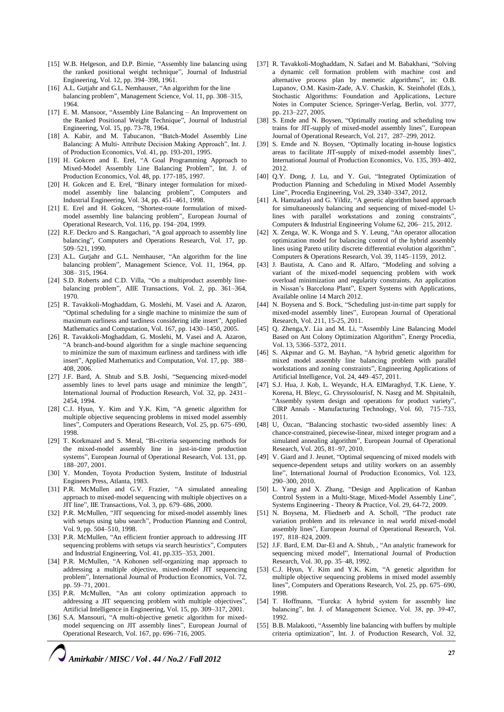- [15] W.B. Helgeson, and D.P. Birnie, "Assembly line balancing using the ranked positional weight technique", Journal of Industrial Engineering, Vol. 12, pp. 394–398, 1961.
- [16] A.L. Gutjahr and G.L. Nemhauser, "An algorithm for the line balancing problem", Management Science, Vol. 11, pp. 308–315, 1964.
- [17] E. M. Mansoor, "Assembly Line Balancing An Improvement on the Ranked Positional Weight Technique", Journal of Industrial Engineering, Vol. 15, pp. 73-78, 1964.
- [18] A. Kabir, and M. Tabucanon, "Batch-Model Assembly Line Balancing: A Multi- Attribute Decision Making Approach", Int. J. of Production Economics, Vol. 41, pp. 193-201, 1995.
- [19] H. Gokcen and E. Erel, "A Goal Programming Approach to Mixed-Model Assembly Line Balancing Problem", Int. J. of Production Economics, Vol. 48, pp. 177-185, 1997.
- [20] H. Gokcen and E. Erel, "Binary integer formulation for mixedmodel assembly line balancing problem", Computers and Industrial Engineering, Vol. 34, pp. 451–461, 1998.
- [21] E. Erel and H. Gokcen, "Shortest-route formulation of mixedmodel assembly line balancing problem", European Journal of Operational Research, Vol. 116, pp. 194–204, 1999.
- [22] R.F. Deckro and S. Rangachari, "A goal approach to assembly line balancing", Computers and Operations Research, Vol. 17, pp. 509–521, 1990.
- [23] A.L. Gutjahr and G.L. Nemhauser, "An algorithm for the line balancing problem", Management Science, Vol. 11, 1964, pp. 308– 315, 1964.
- [24] S.D. Roberts and C.D. Villa, "On a multiproduct assembly linebalancing problem", AIIE Transactions, Vol. 2, pp. 361–364, 1970.
- [25] R. Tavakkoli-Moghaddam, G. Moslehi, M. Vasei and A. Azaron, "Optimal scheduling for a single machine to minimize the sum of maximum earliness and tardiness considering idle insert", Applied Mathematics and Computation, Vol. 167, pp. 1430–1450, 2005.
- [26] R. Tavakkoli-Moghaddam, G. Moslehi, M. Vasei and A. Azaron, "A branch-and-bound algorithm for a single machine sequencing to minimize the sum of maximum earliness and tardiness with idle insert", Applied Mathematics and Computation, Vol. 17, pp. 388– 408, 2006.
- [27] J.F. Bard, A. Shtub and S.B. Joshi, "Sequencing mixed-model assembly lines to level parts usage and minimize the length", International Journal of Production Research, Vol. 32, pp. 2431– 2454, 1994.
- [28] C.J. Hyun, Y. Kim and Y.K. Kim, "A genetic algorithm for multiple objective sequencing problems in mixed model assembly lines", Computers and Operations Research, Vol. 25, pp. 675–690, 1998.
- [29] T. Korkmazel and S. Meral, "Bi-criteria sequencing methods for the mixed-model assembly line in just-in-time production systems", European Journal of Operational Research, Vol. 131, pp. 188–207, 2001.
- [30] Y. Monden, Toyota Production System, Institute of Industrial Engineers Press, Atlanta, 1983.
- [31] P.R. McMullen and G.V. Frazier, "A simulated annealing approach to mixed-model sequencing with multiple objectives on a JIT line", IIE Transactions, Vol. 3, pp. 679–686, 2000.
- [32] P.R. McMullen, "JIT sequencing for mixed-model assembly lines with setups using tabu search", Production Planning and Control, Vol. 9, pp. 504–510, 1998.
- [33] P.R. McMullen, "An efficient frontier approach to addressing JIT sequencing problems with setups via search heuristics", Computers and Industrial Engineering, Vol. 41, pp.335–353, 2001.
- [34] P.R. McMullen, "A Kohonen self-organizing map approach to addressing a multiple objective, mixed-model JIT sequencing problem", International Journal of Production Economics, Vol. 72, pp. 59–71, 2001.
- [35] P.R. McMullen, "An ant colony optimization approach to addressing a JIT sequencing problem with multiple objectives", Artificial Intelligence in Engineering, Vol. 15, pp. 309–317, 2001.
- [36] S.A. Mansouri, "A multi-objective genetic algorithm for mixedmodel sequencing on JIT assembly lines", European Journal of Operational Research, Vol. 167, pp. 696–716, 2005.
- [37] R. Tavakkoli-Moghaddam, N. Safaei and M. Babakhani, "Solving a dynamic cell formation problem with machine cost and alternative process plan by memetic algorithms", in: O.B. Lupanov, O.M. Kasim-Zade, A.V. Chaskin, K. Steinhofel (Eds.), Stochastic Algorithms: Foundation and Applications, Lecture Notes in Computer Science, Springer-Verlag, Berlin, vol. 3777, pp. 213–227, 2005.
- [38] S. Emde and N. Boysen, "Optimally routing and scheduling tow trains for JIT-supply of mixed-model assembly lines", [European](http://www.sciencedirect.com/science/journal/03772217)  [Journal of Operational Research,](http://www.sciencedirect.com/science/journal/03772217) [Vol. 217, 2](http://www.sciencedirect.com/science/journal/03772217/217/2)87–299, 2012.
- [39] S. Emde and N. Boysen, "Optimally locating in-house logistics areas to facilitate JIT-supply of mixed-model assembly lines", [International Journal of Production Economics,](http://www.sciencedirect.com/science/journal/09255273) Vo. [135, 3](http://www.sciencedirect.com/science/journal/09255273/135/1)93–402, 2012.
- [40] Q.Y. Dong, J. L[u,](http://www.sciencedirect.com/science/article/pii/S1877705812005012#aff0005) and Y. Gui, "Integrated Optimization of Production Planning and Scheduling in Mixed Model Assembly Line", [Procedia Engineering,](http://www.sciencedirect.com/science/journal/18777058) [Vol.](http://www.sciencedirect.com/science/journal/18777058/29) 29, 3340–3347, 2012.
- [41] A. Hamzadayi and G. Yildiz, "A genetic algorithm based approach for simultaneously balancing and sequencing of mixed-model Ulines with parallel workstations and zoning constraints", [Computers & Industrial Engineering](http://www.sciencedirect.com/science/journal/03608352) [Volume 62, 2](http://www.sciencedirect.com/science/journal/03608352/62/1)06– 215, 2012.
- [42] X. Zen[ga,](http://www.sciencedirect.com/science/article/pii/S0305054811002139#aff1) W. K. Won[ga](http://www.sciencedirect.com/science/article/pii/S0305054811002139#aff1) and S. Y. Leung, "An operator allocation optimization model for balancing control of the hybrid assembly lines using Pareto utility discrete differential evolution algorithm", [Computers & Operations Research,](http://www.sciencedirect.com/science/journal/03050548) Vol. 39, [1145–1159, 2](http://www.sciencedirect.com/science/journal/03050548/39/5)012.
- [43] J. Bautista, A. Cano and R. Alfaro, "Modeling and solving a variant of the mixed-model sequencing problem with work overload minimization and regularity constraints. An application in Nissan's Barcelona Plant", [Expert Systems with Applications,](http://www.sciencedirect.com/science/journal/09574174)  Available online 14 March 2012.
- [44] N. Boyse[na](http://www.sciencedirect.com/science/article/pii/S0377221710007319#aff1) and S. Bock, "Scheduling just-in-time part supply for mixed-model assembly lines", [European Journal of Operational](http://www.sciencedirect.com/science/journal/03772217)  [Research,](http://www.sciencedirect.com/science/journal/03772217) [Vol. 211, 1](http://www.sciencedirect.com/science/journal/03772217/211/1)5-25, 2011.
- [45] Q. Zhen[ga,](http://www.sciencedirect.com/science/article/pii/S1876610211035910#aff0005)Y. [Lia](http://www.sciencedirect.com/science/article/pii/S1876610211035910#aff0005) and M. Li, "Assembly Line Balancing Model Based on Ant Colony Optimization Algorithm", [Energy Procedia,](http://www.sciencedirect.com/science/journal/18766102)  [Vol. 13,](http://www.sciencedirect.com/science/journal/18766102/13) 5366–5372, 2011.
- [46] S. Akpınar and G. M. Bayhan, "A hybrid genetic algorithm for mixed model assembly line balancing problem with parallel workstations and zoning constraints"[, Engineering Applications of](http://www.sciencedirect.com/science/journal/09521976)  [Artificial Intelligence,](http://www.sciencedirect.com/science/journal/09521976) [Vol.](http://www.sciencedirect.com/science/journal/09521976/24/3) 24, 449–457, 2011.
- [47] S.J. H[ua,](http://www.sciencedirect.com/science/article/pii/S000785061100206X#aff0005) J. K[ob,](http://www.sciencedirect.com/science/article/pii/S000785061100206X#aff0010) L. Weyan[dc,](http://www.sciencedirect.com/science/article/pii/S000785061100206X#aff0015) H.A. ElMaragh[yd,](http://www.sciencedirect.com/science/article/pii/S000785061100206X#aff0020) T.K. Lie[ne,](http://www.sciencedirect.com/science/article/pii/S000785061100206X#aff0025) Y. Kore[na,](http://www.sciencedirect.com/science/article/pii/S000785061100206X#aff0005) H. Ble[yc,](http://www.sciencedirect.com/science/article/pii/S000785061100206X#aff0015) G. Chryssolouri[sf,](http://www.sciencedirect.com/science/article/pii/S000785061100206X#aff0030) N. Nas[rg](http://www.sciencedirect.com/science/article/pii/S000785061100206X#aff0035) and M. Shpital[nih,](http://www.sciencedirect.com/science/article/pii/S000785061100206X#aff0040)  "Assembly system design and operations for product variety", CIRP Annals - [Manufacturing Technology,](http://www.sciencedirect.com/science/journal/00078506) [Vol. 60,](http://www.sciencedirect.com/science/journal/00078506/60/2) 715–733, 2011.
- [48] U, Özcan, "Balancing stochastic two-sided assembly lines: A chance-constrained, piecewise-linear, mixed integer program and a simulated annealing algorithm", [European Journal of Operational](http://www.sciencedirect.com/science/journal/03772217)  [Research,](http://www.sciencedirect.com/science/journal/03772217) Vol. [205, 81–97,](http://www.sciencedirect.com/science/journal/03772217/205/1) 2010.
- [49] V. Giard and J. Jeunet, "Optimal sequencing of mixed models with sequence-dependent setups and utility workers on an assembly line", [International Journal of Production Economics,](http://www.sciencedirect.com/science/journal/09255273) [Vol.](http://www.sciencedirect.com/science/journal/09255273/123/2) 123, 290–300, 2010.
- [50] L. Yang and X. Zhang, "Design and Application of Kanban Control System in a Multi-Stage, Mixed-Model Assembly Line", [Systems Engineering -](http://www.sciencedirect.com/science/journal/18748651) Theory & Practice[, Vol.](http://www.sciencedirect.com/science/journal/18748651/29/9) 29, 64-72, 2009.
- [51] N. Boyse[na,](http://www.sciencedirect.com/science/article/pii/S0377221708005122#aff1) M. Fliedne[rb](http://www.sciencedirect.com/science/article/pii/S0377221708005122#aff2) and A. Scholl, "The product rate variation problem and its relevance in real world mixed-model assembly lines", [European Journal of Operational Research,](http://www.sciencedirect.com/science/journal/03772217) [Vol.](http://www.sciencedirect.com/science/journal/03772217/197/2) [197,](http://www.sciencedirect.com/science/journal/03772217/197/2) 818–824, 2009.
- [52] J.F. Bard, E.M. Dar-El and A. Shtub,, "An analytic framework for sequencing mixed model", International Journal of Production Research, Vol. 30, pp. 35–48, 1992.
- [53] C.J. Hyun, Y. Kim and Y.K. Kim, "A genetic algorithm for multiple objective sequencing problems in mixed model assembly lines", Computers and Operations Research, Vol. 25, pp. 675–690, 1998.
- [54] T. Hoffmann, "Eureka: A hybrid system for assembly line balancing", Int. J. of Management Science, Vol. 38, pp. 39-47, 1992.
- [55] B.B. Malakooti, "Assembly line balancing with buffers by multiple criteria optimization", Int. J. of Production Research, Vol. 32,

*Amirkabir / MISC / Vol . 44 / No.2 / Fall 2012*